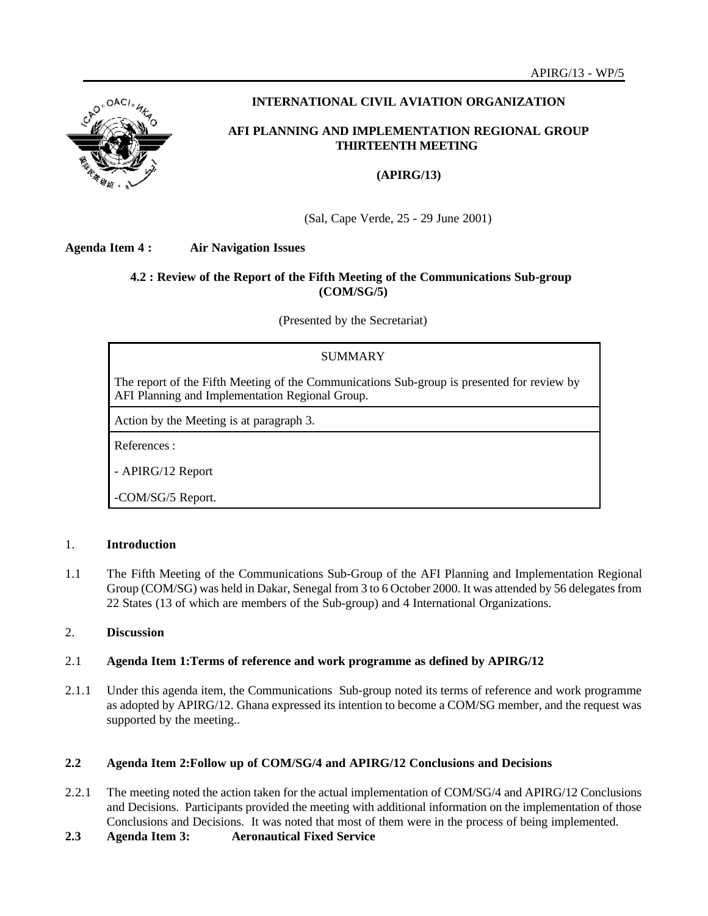

# **INTERNATIONAL CIVIL AVIATION ORGANIZATION**

# **AFI PLANNING AND IMPLEMENTATION REGIONAL GROUP THIRTEENTH MEETING**

# **(APIRG/13)**

(Sal, Cape Verde, 25 - 29 June 2001)

**Agenda Item 4 : Air Navigation Issues**

# **4.2 : Review of the Report of the Fifth Meeting of the Communications Sub-group (COM/SG/5)**

(Presented by the Secretariat)

# SUMMARY

The report of the Fifth Meeting of the Communications Sub-group is presented for review by AFI Planning and Implementation Regional Group.

Action by the Meeting is at paragraph 3.

References :

- APIRG/12 Report

-COM/SG/5 Report.

### 1. **Introduction**

1.1 The Fifth Meeting of the Communications Sub-Group of the AFI Planning and Implementation Regional Group (COM/SG) was held in Dakar, Senegal from 3 to 6 October 2000. It was attended by 56 delegates from 22 States (13 of which are members of the Sub-group) and 4 International Organizations.

# 2. **Discussion**

# 2.1 **Agenda Item 1:Terms of reference and work programme as defined by APIRG/12**

2.1.1 Under this agenda item, the Communications Sub-group noted its terms of reference and work programme as adopted by APIRG/12. Ghana expressed its intention to become a COM/SG member, and the request was supported by the meeting..

# **2.2 Agenda Item 2:Follow up of COM/SG/4 and APIRG/12 Conclusions and Decisions**

- 2.2.1 The meeting noted the action taken for the actual implementation of COM/SG/4 and APIRG/12 Conclusions and Decisions. Participants provided the meeting with additional information on the implementation of those Conclusions and Decisions. It was noted that most of them were in the process of being implemented.
- **2.3 Agenda Item 3: Aeronautical Fixed Service**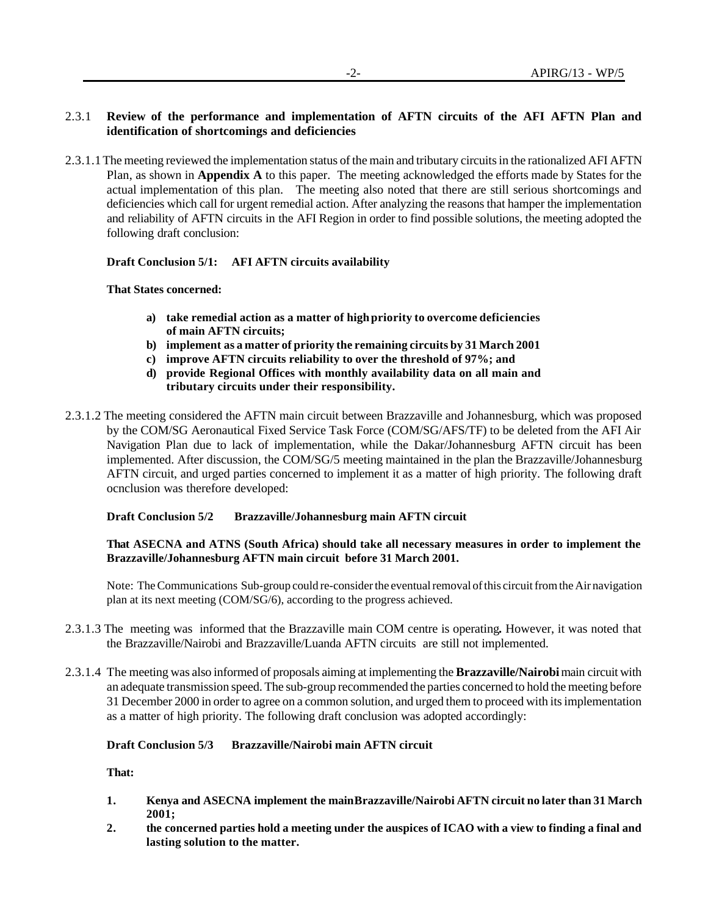# 2.3.1 **Review of the performance and implementation of AFTN circuits of the AFI AFTN Plan and identification of shortcomings and deficiencies**

2.3.1.1 The meeting reviewed the implementation status of the main and tributary circuits in the rationalized AFI AFTN Plan, as shown in **Appendix A** to this paper. The meeting acknowledged the efforts made by States for the actual implementation of this plan. The meeting also noted that there are still serious shortcomings and deficiencies which call for urgent remedial action. After analyzing the reasons that hamper the implementation and reliability of AFTN circuits in the AFI Region in order to find possible solutions, the meeting adopted the following draft conclusion:

### **Draft Conclusion 5/1: AFI AFTN circuits availability**

### **That States concerned:**

- **a) take remedial action as a matter of high priority to overcome deficiencies of main AFTN circuits;**
- **b) implement as a matter of priority the remaining circuits by 31 March 2001**
- **c) improve AFTN circuits reliability to over the threshold of 97%; and**
- **d) provide Regional Offices with monthly availability data on all main and tributary circuits under their responsibility.**
- 2.3.1.2 The meeting considered the AFTN main circuit between Brazzaville and Johannesburg, which was proposed by the COM/SG Aeronautical Fixed Service Task Force (COM/SG/AFS/TF) to be deleted from the AFI Air Navigation Plan due to lack of implementation, while the Dakar/Johannesburg AFTN circuit has been implemented. After discussion, the COM/SG/5 meeting maintained in the plan the Brazzaville/Johannesburg AFTN circuit, and urged parties concerned to implement it as a matter of high priority. The following draft ocnclusion was therefore developed:

### **Draft Conclusion 5/2 Brazzaville/Johannesburg main AFTN circuit**

### **That ASECNA and ATNS (South Africa) should take all necessary measures in order to implement the Brazzaville/Johannesburg AFTN main circuit before 31 March 2001.**

Note: The Communications Sub-group could re-consider the eventual removal of this circuit from the Air navigation plan at its next meeting (COM/SG/6), according to the progress achieved.

- 2.3.1.3 The meeting was informed that the Brazzaville main COM centre is operating**.** However, it was noted that the Brazzaville/Nairobi and Brazzaville/Luanda AFTN circuits are still not implemented.
- 2.3.1.4 The meeting was also informed of proposals aiming at implementing the **Brazzaville/Nairobi** main circuit with an adequate transmission speed. The sub-group recommended the parties concerned to hold the meeting before 31 December 2000 in order to agree on a common solution, and urged them to proceed with its implementation as a matter of high priority. The following draft conclusion was adopted accordingly:

# **Draft Conclusion 5/3 Brazzaville/Nairobi main AFTN circuit**

**That:**

- **1. Kenya and ASECNA implement the main Brazzaville/Nairobi AFTN circuit no later than 31 March 2001;**
- **2. the concerned parties hold a meeting under the auspices of ICAO with a view to finding a final and lasting solution to the matter.**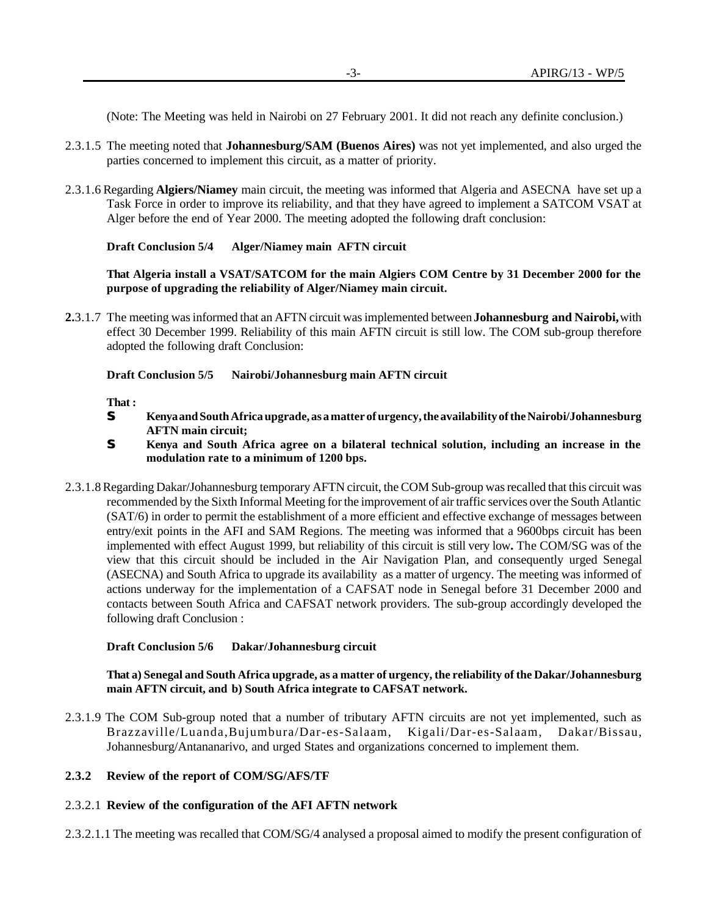(Note: The Meeting was held in Nairobi on 27 February 2001. It did not reach any definite conclusion.)

- 2.3.1.5 The meeting noted that **Johannesburg/SAM (Buenos Aires)** was not yet implemented, and also urged the parties concerned to implement this circuit, as a matter of priority.
- 2.3.1.6 Regarding **Algiers/Niamey** main circuit, the meeting was informed that Algeria and ASECNA have set up a Task Force in order to improve its reliability, and that they have agreed to implement a SATCOM VSAT at Alger before the end of Year 2000. The meeting adopted the following draft conclusion:

### **Draft Conclusion 5/4 Alger/Niamey main AFTN circuit**

### **That Algeria install a VSAT/SATCOM for the main Algiers COM Centre by 31 December 2000 for the purpose of upgrading the reliability of Alger/Niamey main circuit.**

**2.**3.1.7 The meeting was informed that an AFTN circuit was implemented between **Johannesburg and Nairobi,** with effect 30 December 1999. Reliability of this main AFTN circuit is still low. The COM sub-group therefore adopted the following draft Conclusion:

### **Draft Conclusion 5/5 Nairobi/Johannesburg main AFTN circuit**

**That :**

- **S Kenya and South Africa upgrade, as a matter of urgency, the availability of the Nairobi/Johannesburg AFTN main circuit;**
- **S Kenya and South Africa agree on a bilateral technical solution, including an increase in the modulation rate to a minimum of 1200 bps.**
- 2.3.1.8 Regarding Dakar/Johannesburg temporary AFTN circuit, the COM Sub-group was recalled that this circuit was recommended by the Sixth Informal Meeting for the improvement of air traffic services over the South Atlantic (SAT/6) in order to permit the establishment of a more efficient and effective exchange of messages between entry/exit points in the AFI and SAM Regions. The meeting was informed that a 9600bps circuit has been implemented with effect August 1999, but reliability of this circuit is still very low**.** The COM/SG was of the view that this circuit should be included in the Air Navigation Plan, and consequently urged Senegal (ASECNA) and South Africa to upgrade its availability as a matter of urgency. The meeting was informed of actions underway for the implementation of a CAFSAT node in Senegal before 31 December 2000 and contacts between South Africa and CAFSAT network providers. The sub-group accordingly developed the following draft Conclusion :

### **Draft Conclusion 5/6 Dakar/Johannesburg circuit**

### **That a) Senegal and South Africa upgrade, as a matter of urgency, the reliability of the Dakar/Johannesburg main AFTN circuit, and b) South Africa integrate to CAFSAT network.**

2.3.1.9 The COM Sub-group noted that a number of tributary AFTN circuits are not yet implemented, such as Brazzaville/Luanda,Bujumbura/Dar-es-Salaam, Kigali/Dar-es-Salaam, Dakar/Bissau, Johannesburg/Antananarivo, and urged States and organizations concerned to implement them.

# **2.3.2 Review of the report of COM/SG/AFS/TF**

# 2.3.2.1 **Review of the configuration of the AFI AFTN network**

2.3.2.1.1 The meeting was recalled that COM/SG/4 analysed a proposal aimed to modify the present configuration of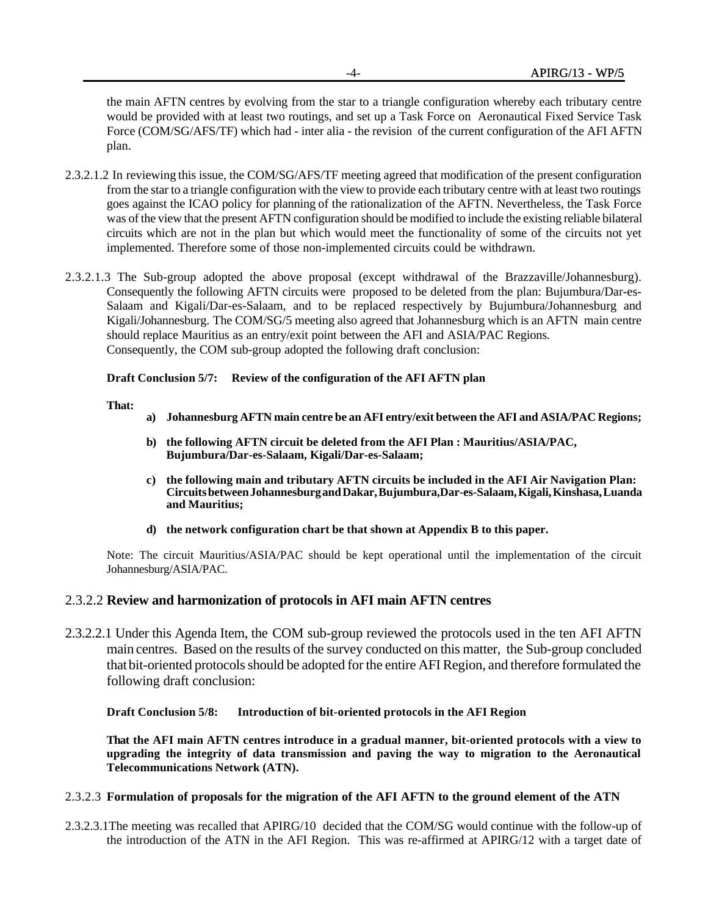the main AFTN centres by evolving from the star to a triangle configuration whereby each tributary centre would be provided with at least two routings, and set up a Task Force on Aeronautical Fixed Service Task Force (COM/SG/AFS/TF) which had - inter alia - the revision of the current configuration of the AFI AFTN plan.

- 2.3.2.1.2 In reviewing this issue, the COM/SG/AFS/TF meeting agreed that modification of the present configuration from the star to a triangle configuration with the view to provide each tributary centre with at least two routings goes against the ICAO policy for planning of the rationalization of the AFTN. Nevertheless, the Task Force was of the view that the present AFTN configuration should be modified to include the existing reliable bilateral circuits which are not in the plan but which would meet the functionality of some of the circuits not yet implemented. Therefore some of those non-implemented circuits could be withdrawn.
- 2.3.2.1.3 The Sub-group adopted the above proposal (except withdrawal of the Brazzaville/Johannesburg). Consequently the following AFTN circuits were proposed to be deleted from the plan: Bujumbura/Dar-es-Salaam and Kigali/Dar-es-Salaam, and to be replaced respectively by Bujumbura/Johannesburg and Kigali/Johannesburg. The COM/SG/5 meeting also agreed that Johannesburg which is an AFTN main centre should replace Mauritius as an entry/exit point between the AFI and ASIA/PAC Regions. Consequently, the COM sub-group adopted the following draft conclusion:

### **Draft Conclusion 5/7: Review of the configuration of the AFI AFTN plan**

#### **That:**

- **a) Johannesburg AFTN main centre be an AFI entry/exit between the AFI and ASIA/PAC Regions;**
- **b) the following AFTN circuit be deleted from the AFI Plan : Mauritius/ASIA/PAC, Bujumbura/Dar-es-Salaam, Kigali/Dar-es-Salaam;**
- **c) the following main and tributary AFTN circuits be included in the AFI Air Navigation Plan: Circuits between Johannesburg and Dakar, Bujumbura,Dar-es-Salaam, Kigali, Kinshasa, Luanda and Mauritius;**
- **d) the network configuration chart be that shown at Appendix B to this paper.**

Note: The circuit Mauritius/ASIA/PAC should be kept operational until the implementation of the circuit Johannesburg/ASIA/PAC.

# 2.3.2.2 **Review and harmonization of protocols in AFI main AFTN centres**

2.3.2.2.1 Under this Agenda Item, the COM sub-group reviewed the protocols used in the ten AFI AFTN main centres. Based on the results of the survey conducted on this matter, the Sub-group concluded that bit-oriented protocols should be adopted for the entire AFI Region, and therefore formulated the following draft conclusion:

### **Draft Conclusion 5/8: Introduction of bit-oriented protocols in the AFI Region**

**That the AFI main AFTN centres introduce in a gradual manner, bit-oriented protocols with a view to upgrading the integrity of data transmission and paving the way to migration to the Aeronautical Telecommunications Network (ATN).**

### 2.3.2.3 **Formulation of proposals for the migration of the AFI AFTN to the ground element of the ATN**

2.3.2.3.1The meeting was recalled that APIRG/10 decided that the COM/SG would continue with the follow-up of the introduction of the ATN in the AFI Region. This was re-affirmed at APIRG/12 with a target date of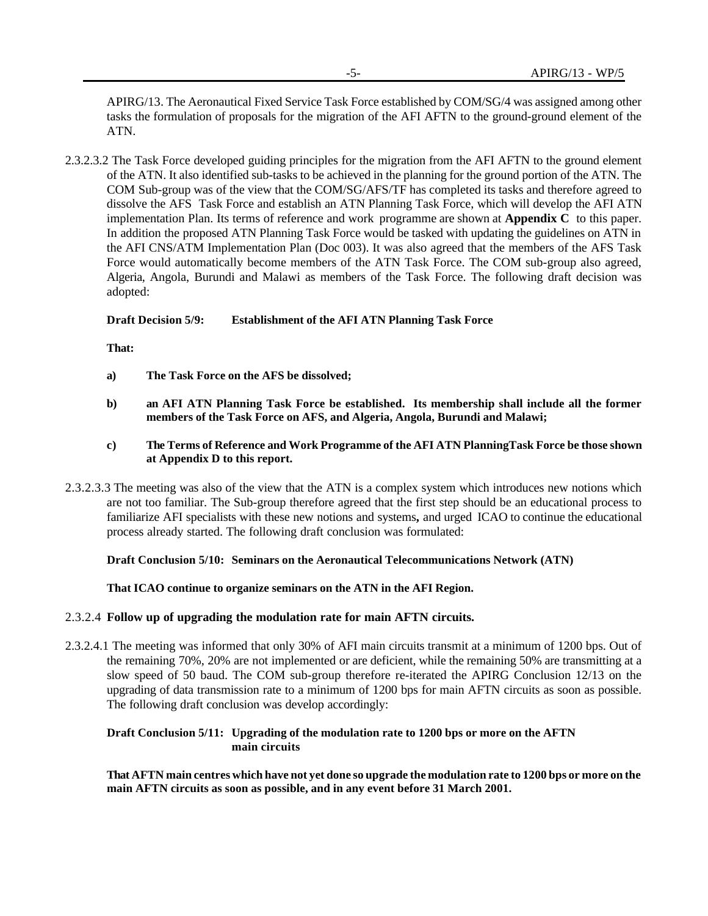APIRG/13. The Aeronautical Fixed Service Task Force established by COM/SG/4 was assigned among other tasks the formulation of proposals for the migration of the AFI AFTN to the ground-ground element of the ATN.

2.3.2.3.2 The Task Force developed guiding principles for the migration from the AFI AFTN to the ground element of the ATN. It also identified sub-tasks to be achieved in the planning for the ground portion of the ATN. The COM Sub-group was of the view that the COM/SG/AFS/TF has completed its tasks and therefore agreed to dissolve the AFS Task Force and establish an ATN Planning Task Force, which will develop the AFI ATN implementation Plan. Its terms of reference and work programme are shown at **Appendix C** to this paper. In addition the proposed ATN Planning Task Force would be tasked with updating the guidelines on ATN in the AFI CNS/ATM Implementation Plan (Doc 003). It was also agreed that the members of the AFS Task Force would automatically become members of the ATN Task Force. The COM sub-group also agreed, Algeria, Angola, Burundi and Malawi as members of the Task Force. The following draft decision was adopted:

### **Draft Decision 5/9: Establishment of the AFI ATN Planning Task Force**

**That:**

- **a) The Task Force on the AFS be dissolved;**
- **b) an AFI ATN Planning Task Force be established. Its membership shall include all the former members of the Task Force on AFS, and Algeria, Angola, Burundi and Malawi;**
- **c) The Terms of Reference and Work Programme of the AFI ATN PlanningTask Force be those shown at Appendix D to this report.**
- 2.3.2.3.3 The meeting was also of the view that the ATN is a complex system which introduces new notions which are not too familiar. The Sub-group therefore agreed that the first step should be an educational process to familiarize AFI specialists with these new notions and systems**,** and urged ICAO to continue the educational process already started. The following draft conclusion was formulated:

### **Draft Conclusion 5/10: Seminars on the Aeronautical Telecommunications Network (ATN)**

**That ICAO continue to organize seminars on the ATN in the AFI Region.**

### 2.3.2.4 **Follow up of upgrading the modulation rate for main AFTN circuits.**

2.3.2.4.1 The meeting was informed that only 30% of AFI main circuits transmit at a minimum of 1200 bps. Out of the remaining 70%, 20% are not implemented or are deficient, while the remaining 50% are transmitting at a slow speed of 50 baud. The COM sub-group therefore re-iterated the APIRG Conclusion 12/13 on the upgrading of data transmission rate to a minimum of 1200 bps for main AFTN circuits as soon as possible. The following draft conclusion was develop accordingly:

### **Draft Conclusion 5/11: Upgrading of the modulation rate to 1200 bps or more on the AFTN main circuits**

**That AFTN main centres which have not yet done so upgrade the modulation rate to 1200 bps or more on the main AFTN circuits as soon as possible, and in any event before 31 March 2001.**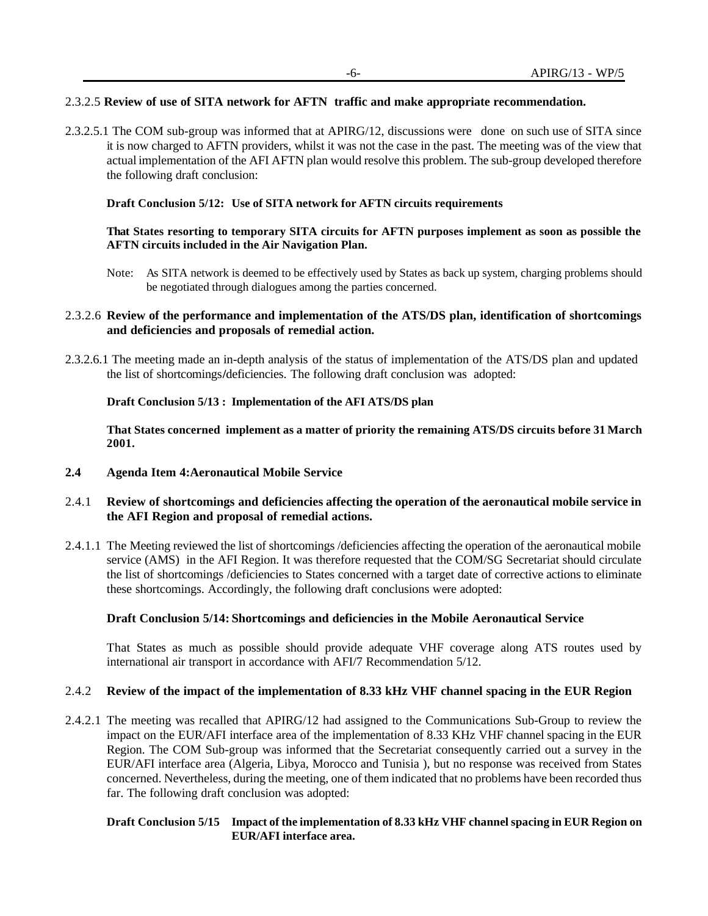# 2.3.2.5 **Review of use of SITA network for AFTN traffic and make appropriate recommendation.**

2.3.2.5.1 The COM sub-group was informed that at APIRG/12, discussions were done on such use of SITA since it is now charged to AFTN providers, whilst it was not the case in the past. The meeting was of the view that actual implementation of the AFI AFTN plan would resolve this problem. The sub-group developed therefore the following draft conclusion:

### **Draft Conclusion 5/12: Use of SITA network for AFTN circuits requirements**

### **That States resorting to temporary SITA circuits for AFTN purposes implement as soon as possible the AFTN circuits included in the Air Navigation Plan.**

Note: As SITA network is deemed to be effectively used by States as back up system, charging problems should be negotiated through dialogues among the parties concerned.

### 2.3.2.6 **Review of the performance and implementation of the ATS/DS plan, identification of shortcomings and deficiencies and proposals of remedial action.**

2.3.2.6.1 The meeting made an in-depth analysis of the status of implementation of the ATS/DS plan and updated the list of shortcomings**/**deficiencies. The following draft conclusion was adopted:

### **Draft Conclusion 5/13 : Implementation of the AFI ATS/DS plan**

**That States concerned implement as a matter of priority the remaining ATS/DS circuits before 31 March 2001.**

**2.4 Agenda Item 4:Aeronautical Mobile Service**

### 2.4.1 **Review of shortcomings and deficiencies affecting the operation of the aeronautical mobile service in the AFI Region and proposal of remedial actions.**

2.4.1.1 The Meeting reviewed the list of shortcomings /deficiencies affecting the operation of the aeronautical mobile service (AMS) in the AFI Region. It was therefore requested that the COM/SG Secretariat should circulate the list of shortcomings /deficiencies to States concerned with a target date of corrective actions to eliminate these shortcomings. Accordingly, the following draft conclusions were adopted:

### **Draft Conclusion 5/14: Shortcomings and deficiencies in the Mobile Aeronautical Service**

That States as much as possible should provide adequate VHF coverage along ATS routes used by international air transport in accordance with AFI/7 Recommendation 5/12.

### 2.4.2 **Review of the impact of the implementation of 8.33 kHz VHF channel spacing in the EUR Region**

2.4.2.1 The meeting was recalled that APIRG/12 had assigned to the Communications Sub-Group to review the impact on the EUR/AFI interface area of the implementation of 8.33 KHz VHF channel spacing in the EUR Region. The COM Sub-group was informed that the Secretariat consequently carried out a survey in the EUR/AFI interface area (Algeria, Libya, Morocco and Tunisia ), but no response was received from States concerned. Nevertheless, during the meeting, one of them indicated that no problems have been recorded thus far. The following draft conclusion was adopted:

### **Draft Conclusion 5/15 Impact of the implementation of 8.33 kHz VHF channel spacing in EUR Region on EUR/AFI interface area.**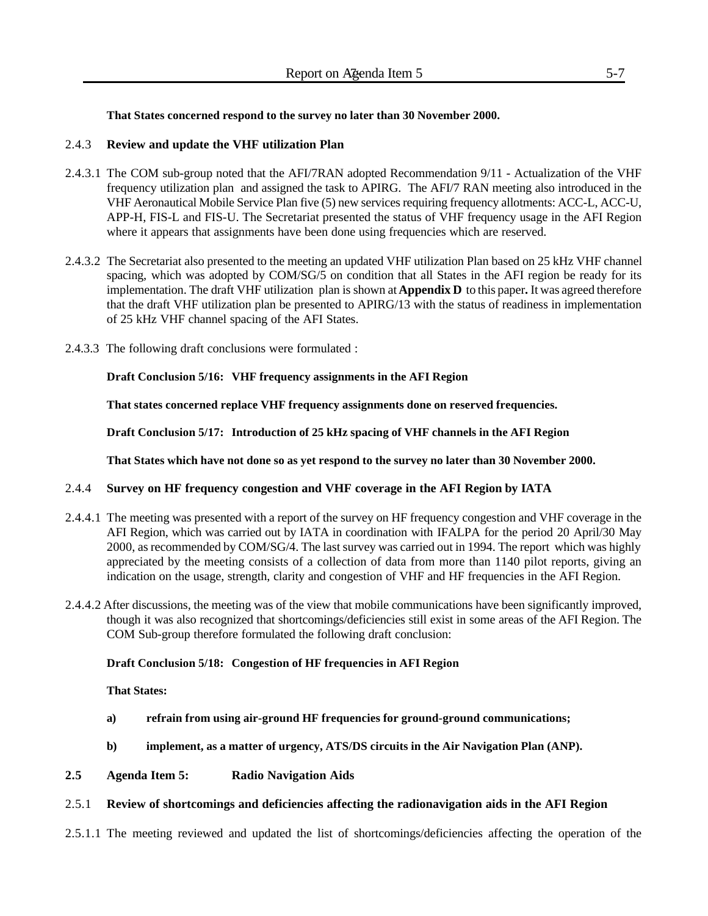# **That States concerned respond to the survey no later than 30 November 2000.**

# 2.4.3 **Review and update the VHF utilization Plan**

- 2.4.3.1 The COM sub-group noted that the AFI/7RAN adopted Recommendation 9/11 Actualization of the VHF frequency utilization plan and assigned the task to APIRG. The AFI/7 RAN meeting also introduced in the VHF Aeronautical Mobile Service Plan five (5) new services requiring frequency allotments: ACC-L, ACC-U, APP-H, FIS-L and FIS-U. The Secretariat presented the status of VHF frequency usage in the AFI Region where it appears that assignments have been done using frequencies which are reserved.
- 2.4.3.2 The Secretariat also presented to the meeting an updated VHF utilization Plan based on 25 kHz VHF channel spacing, which was adopted by COM/SG/5 on condition that all States in the AFI region be ready for its implementation. The draft VHF utilization plan is shown at **Appendix D** to this paper**.** It was agreed therefore that the draft VHF utilization plan be presented to APIRG/13 with the status of readiness in implementation of 25 kHz VHF channel spacing of the AFI States.
- 2.4.3.3 The following draft conclusions were formulated :

**Draft Conclusion 5/16: VHF frequency assignments in the AFI Region**

**That states concerned replace VHF frequency assignments done on reserved frequencies.**

**Draft Conclusion 5/17: Introduction of 25 kHz spacing of VHF channels in the AFI Region**

**That States which have not done so as yet respond to the survey no later than 30 November 2000.**

# 2.4.4 **Survey on HF frequency congestion and VHF coverage in the AFI Region by IATA**

- 2.4.4.1 The meeting was presented with a report of the survey on HF frequency congestion and VHF coverage in the AFI Region, which was carried out by IATA in coordination with IFALPA for the period 20 April/30 May 2000, as recommended by COM/SG/4. The last survey was carried out in 1994. The report which was highly appreciated by the meeting consists of a collection of data from more than 1140 pilot reports, giving an indication on the usage, strength, clarity and congestion of VHF and HF frequencies in the AFI Region.
- 2.4.4.2 After discussions, the meeting was of the view that mobile communications have been significantly improved, though it was also recognized that shortcomings/deficiencies still exist in some areas of the AFI Region. The COM Sub-group therefore formulated the following draft conclusion:

# **Draft Conclusion 5/18: Congestion of HF frequencies in AFI Region**

# **That States:**

- **a) refrain from using air-ground HF frequencies for ground-ground communications;**
- **b) implement, as a matter of urgency, ATS/DS circuits in the Air Navigation Plan (ANP).**
- **2.5 Agenda Item 5: Radio Navigation Aids**

# 2.5.1 **Review of shortcomings and deficiencies affecting the radionavigation aids in the AFI Region**

2.5.1.1 The meeting reviewed and updated the list of shortcomings/deficiencies affecting the operation of the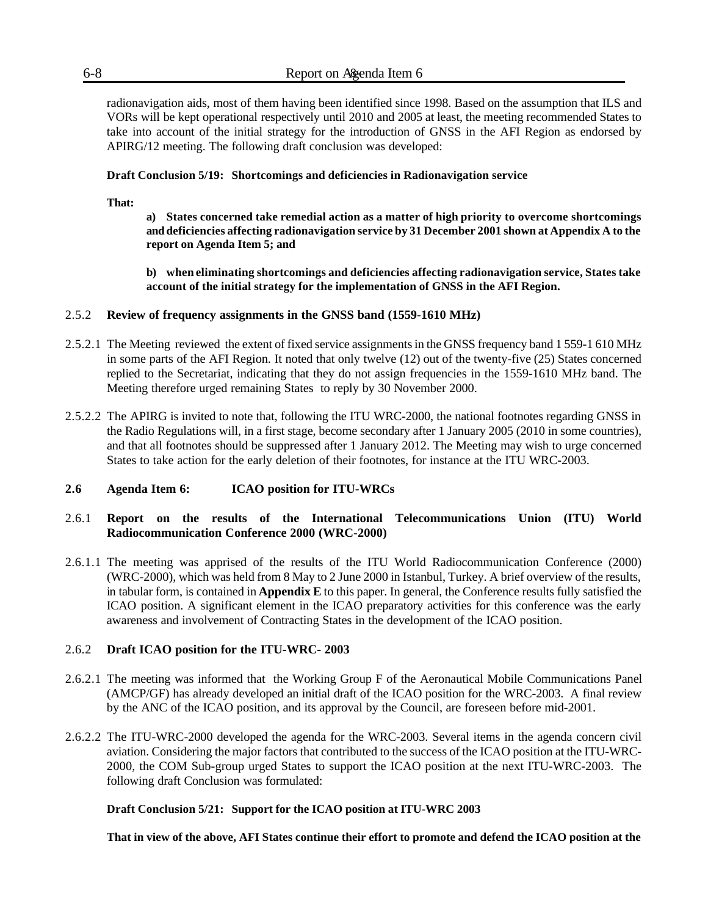radionavigation aids, most of them having been identified since 1998. Based on the assumption that ILS and VORs will be kept operational respectively until 2010 and 2005 at least, the meeting recommended States to take into account of the initial strategy for the introduction of GNSS in the AFI Region as endorsed by APIRG/12 meeting. The following draft conclusion was developed:

# **Draft Conclusion 5/19: Shortcomings and deficiencies in Radionavigation service**

### **That:**

**a) States concerned take remedial action as a matter of high priority to overcome shortcomings and deficiencies affecting radionavigation service by 31 December 2001 shown at Appendix A to the report on Agenda Item 5; and**

**b) when eliminating shortcomings and deficiencies affecting radionavigation service, States take account of the initial strategy for the implementation of GNSS in the AFI Region.**

# 2.5.2 **Review of frequency assignments in the GNSS band (1559-1610 MHz)**

- 2.5.2.1 The Meeting reviewed the extent of fixed service assignments in the GNSS frequency band 1 559-1 610 MHz in some parts of the AFI Region. It noted that only twelve (12) out of the twenty-five (25) States concerned replied to the Secretariat, indicating that they do not assign frequencies in the 1559-1610 MHz band. The Meeting therefore urged remaining States to reply by 30 November 2000.
- 2.5.2.2 The APIRG is invited to note that, following the ITU WRC-2000, the national footnotes regarding GNSS in the Radio Regulations will, in a first stage, become secondary after 1 January 2005 (2010 in some countries), and that all footnotes should be suppressed after 1 January 2012. The Meeting may wish to urge concerned States to take action for the early deletion of their footnotes, for instance at the ITU WRC-2003.

# **2.6 Agenda Item 6: ICAO position for ITU-WRCs**

# 2.6.1 **Report on the results of the International Telecommunications Union (ITU) World Radiocommunication Conference 2000 (WRC-2000)**

2.6.1.1 The meeting was apprised of the results of the ITU World Radiocommunication Conference (2000) (WRC-2000), which was held from 8 May to 2 June 2000 in Istanbul, Turkey. A brief overview of the results, in tabular form, is contained in **Appendix E** to this paper. In general, the Conference results fully satisfied the ICAO position. A significant element in the ICAO preparatory activities for this conference was the early awareness and involvement of Contracting States in the development of the ICAO position.

# 2.6.2 **Draft ICAO position for the ITU-WRC- 2003**

- 2.6.2.1 The meeting was informed that the Working Group F of the Aeronautical Mobile Communications Panel (AMCP/GF) has already developed an initial draft of the ICAO position for the WRC-2003. A final review by the ANC of the ICAO position, and its approval by the Council, are foreseen before mid-2001.
- 2.6.2.2 The ITU-WRC-2000 developed the agenda for the WRC-2003. Several items in the agenda concern civil aviation. Considering the major factors that contributed to the success of the ICAO position at the ITU-WRC-2000, the COM Sub-group urged States to support the ICAO position at the next ITU-WRC-2003. The following draft Conclusion was formulated:

### **Draft Conclusion 5/21: Support for the ICAO position at ITU-WRC 2003**

**That in view of the above, AFI States continue their effort to promote and defend the ICAO position at the**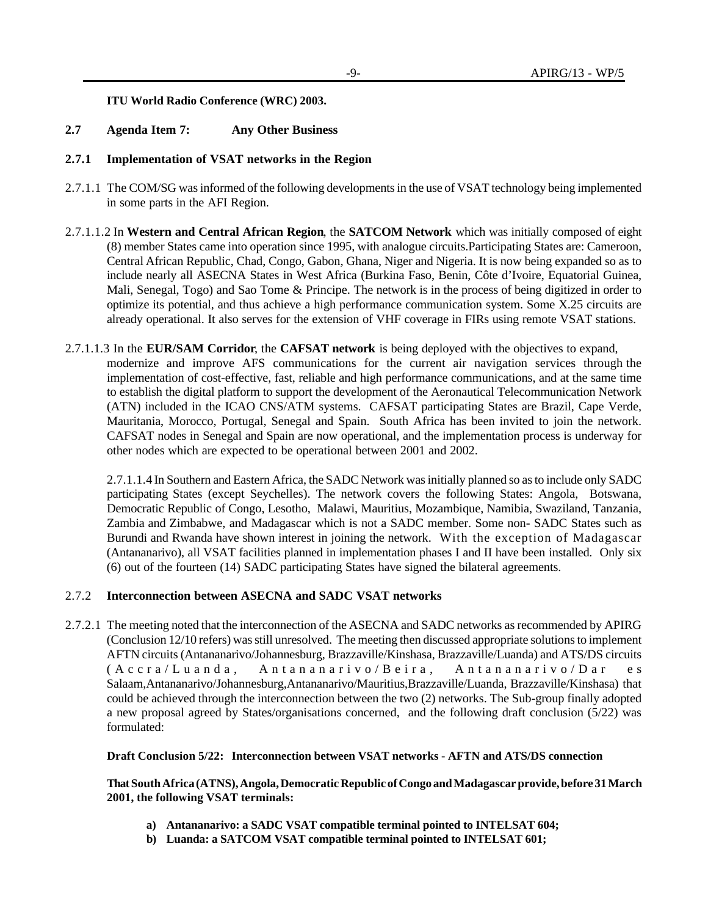**ITU World Radio Conference (WRC) 2003.**

### **2.7 Agenda Item 7: Any Other Business**

# **2.7.1 Implementation of VSAT networks in the Region**

- 2.7.1.1 The COM/SG was informed of the following developments in the use of VSAT technology being implemented in some parts in the AFI Region.
- 2.7.1.1.2 In **Western and Central African Region**, the **SATCOM Network** which was initially composed of eight (8) member States came into operation since 1995, with analogue circuits.Participating States are: Cameroon, Central African Republic, Chad, Congo, Gabon, Ghana, Niger and Nigeria. It is now being expanded so as to include nearly all ASECNA States in West Africa (Burkina Faso, Benin, Côte d'Ivoire, Equatorial Guinea, Mali, Senegal, Togo) and Sao Tome & Principe. The network is in the process of being digitized in order to optimize its potential, and thus achieve a high performance communication system. Some X.25 circuits are already operational. It also serves for the extension of VHF coverage in FIRs using remote VSAT stations.
- 2.7.1.1.3 In the **EUR/SAM Corridor**, the **CAFSAT network** is being deployed with the objectives to expand, modernize and improve AFS communications for the current air navigation services through the implementation of cost-effective, fast, reliable and high performance communications, and at the same time to establish the digital platform to support the development of the Aeronautical Telecommunication Network (ATN) included in the ICAO CNS/ATM systems. CAFSAT participating States are Brazil, Cape Verde, Mauritania, Morocco, Portugal, Senegal and Spain. South Africa has been invited to join the network. CAFSAT nodes in Senegal and Spain are now operational, and the implementation process is underway for other nodes which are expected to be operational between 2001 and 2002.

2.7.1.1.4 In Southern and Eastern Africa, the SADC Network was initially planned so as to include only SADC participating States (except Seychelles). The network covers the following States: Angola, Botswana, Democratic Republic of Congo, Lesotho, Malawi, Mauritius, Mozambique, Namibia, Swaziland, Tanzania, Zambia and Zimbabwe, and Madagascar which is not a SADC member. Some non- SADC States such as Burundi and Rwanda have shown interest in joining the network. With the exception of Madagascar (Antananarivo), all VSAT facilities planned in implementation phases I and II have been installed. Only six (6) out of the fourteen (14) SADC participating States have signed the bilateral agreements.

### 2.7.2 **Interconnection between ASECNA and SADC VSAT networks**

2.7.2.1 The meeting noted that the interconnection of the ASECNA and SADC networks as recommended by APIRG (Conclusion 12/10 refers) was still unresolved. The meeting then discussed appropriate solutions to implement AFTN circuits (Antananarivo/Johannesburg, Brazzaville/Kinshasa, Brazzaville/Luanda) and ATS/DS circuits (Accra/Luanda, Antananarivo/Beira, Antananarivo/Dar es Salaam,Antananarivo/Johannesburg,Antananarivo/Mauritius,Brazzaville/Luanda, Brazzaville/Kinshasa) that could be achieved through the interconnection between the two (2) networks. The Sub-group finally adopted a new proposal agreed by States/organisations concerned, and the following draft conclusion (5/22) was formulated:

### **Draft Conclusion 5/22: Interconnection between VSAT networks - AFTN and ATS/DS connection**

**That South Africa (ATNS), Angola, Democratic Republic of Congo and Madagascar provide, before 31 March 2001, the following VSAT terminals:**

- **a) Antananarivo: a SADC VSAT compatible terminal pointed to INTELSAT 604;**
- **b) Luanda: a SATCOM VSAT compatible terminal pointed to INTELSAT 601;**